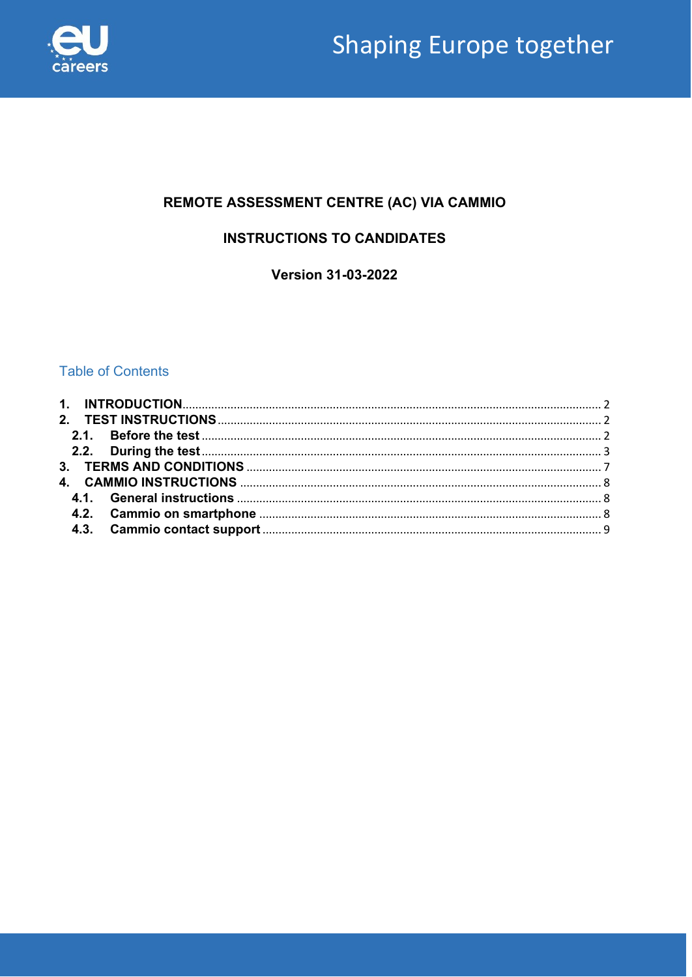

# REMOTE ASSESSMENT CENTRE (AC) VIA CAMMIO

# **INSTRUCTIONS TO CANDIDATES**

**Version 31-03-2022** 

# **Table of Contents**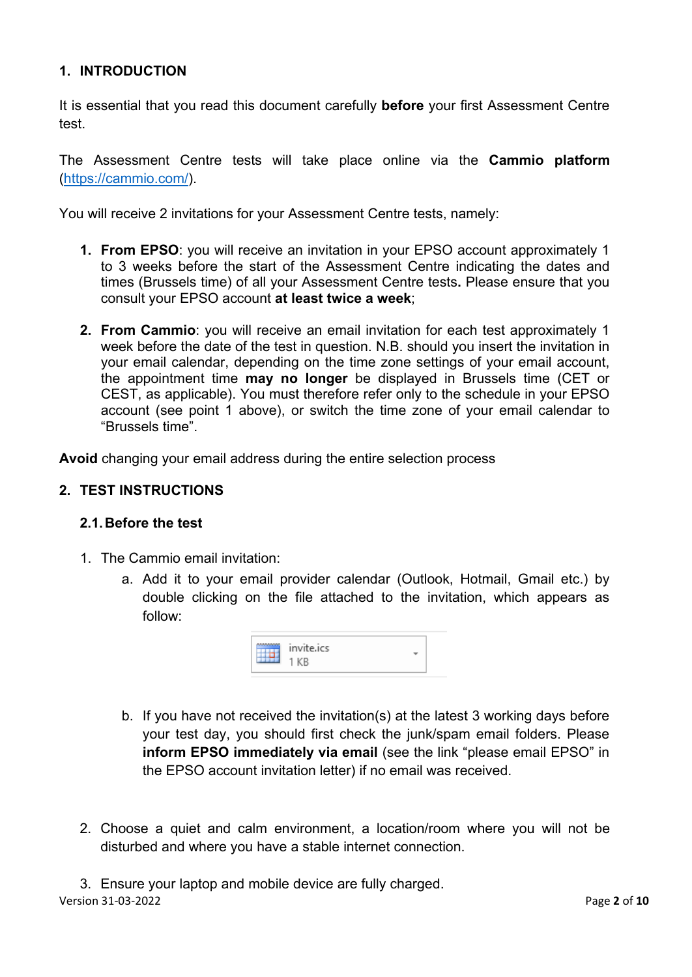## <span id="page-1-0"></span>**1. INTRODUCTION**

It is essential that you read this document carefully **before** your first Assessment Centre test.

The Assessment Centre tests will take place online via the **Cammio platform** [\(https://cammio.com/\)](https://cammio.com/).

You will receive 2 invitations for your Assessment Centre tests, namely:

- **1. From EPSO**: you will receive an invitation in your EPSO account approximately 1 to 3 weeks before the start of the Assessment Centre indicating the dates and times (Brussels time) of all your Assessment Centre tests**.** Please ensure that you consult your EPSO account **at least twice a week**;
- **2. From Cammio**: you will receive an email invitation for each test approximately 1 week before the date of the test in question. N.B. should you insert the invitation in your email calendar, depending on the time zone settings of your email account, the appointment time **may no longer** be displayed in Brussels time (CET or CEST, as applicable). You must therefore refer only to the schedule in your EPSO account (see point 1 above), or switch the time zone of your email calendar to "Brussels time".

**Avoid** changing your email address during the entire selection process

#### <span id="page-1-1"></span>**2. TEST INSTRUCTIONS**

#### <span id="page-1-2"></span>**2.1.Before the test**

- 1. The Cammio email invitation:
	- a. Add it to your email provider calendar (Outlook, Hotmail, Gmail etc.) by double clicking on the file attached to the invitation, which appears as follow:



- b. If you have not received the invitation(s) at the latest 3 working days before your test day, you should first check the junk/spam email folders. Please **inform EPSO immediately via email** (see the link "please email EPSO" in the EPSO account invitation letter) if no email was received.
- 2. Choose a quiet and calm environment, a location/room where you will not be disturbed and where you have a stable internet connection.

Version 31-03-2022 Page **2** of **10** 3. Ensure your laptop and mobile device are fully charged.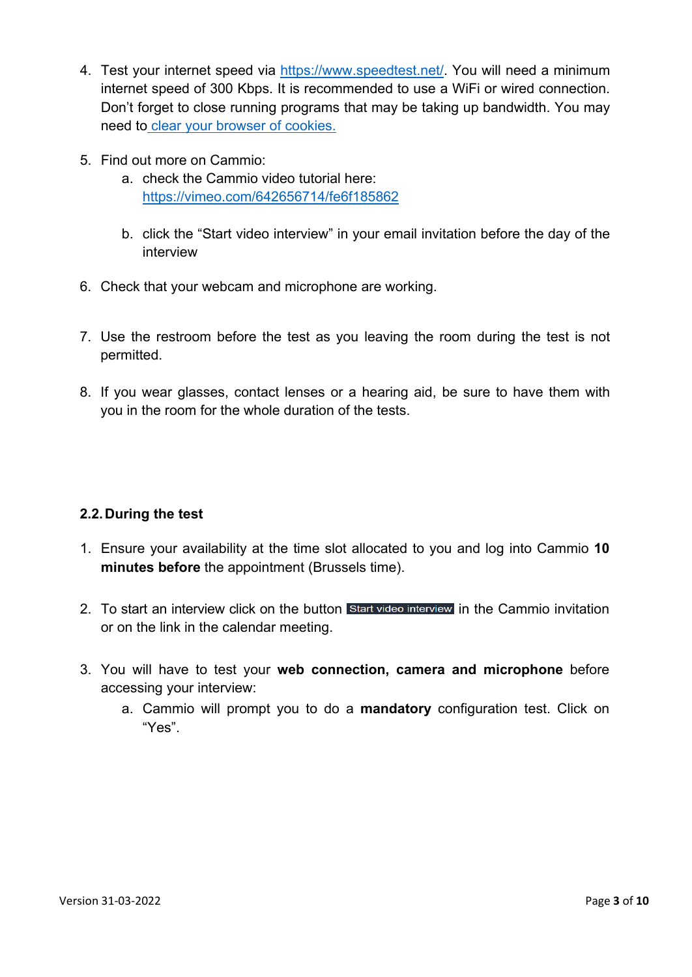- 4. Test your internet speed via [https://www.speedtest.net/.](https://www.speedtest.net/) You will need a minimum internet speed of 300 Kbps. It is recommended to use a WiFi or wired connection. Don't forget to close running programs that may be taking up bandwidth. You may need to [clear your browser of](https://www.ccleaner.com/knowledge/how-to-clear-cookies-from-your-browser) cookies.
- 5. Find out more on Cammio:
	- a. check the Cammio video tutorial here: <https://vimeo.com/642656714/fe6f185862>
	- b. click the "Start video interview" in your email invitation before the day of the interview
- 6. Check that your webcam and microphone are working.
- 7. Use the restroom before the test as you leaving the room during the test is not permitted.
- 8. If you wear glasses, contact lenses or a hearing aid, be sure to have them with you in the room for the whole duration of the tests.

# <span id="page-2-0"></span>**2.2.During the test**

- 1. Ensure your availability at the time slot allocated to you and log into Cammio **10 minutes before** the appointment (Brussels time).
- 2. To start an interview click on the button Start video interview in the Cammio invitation or on the link in the calendar meeting.
- 3. You will have to test your **web connection, camera and microphone** before accessing your interview:
	- a. Cammio will prompt you to do a **mandatory** configuration test. Click on "Yes".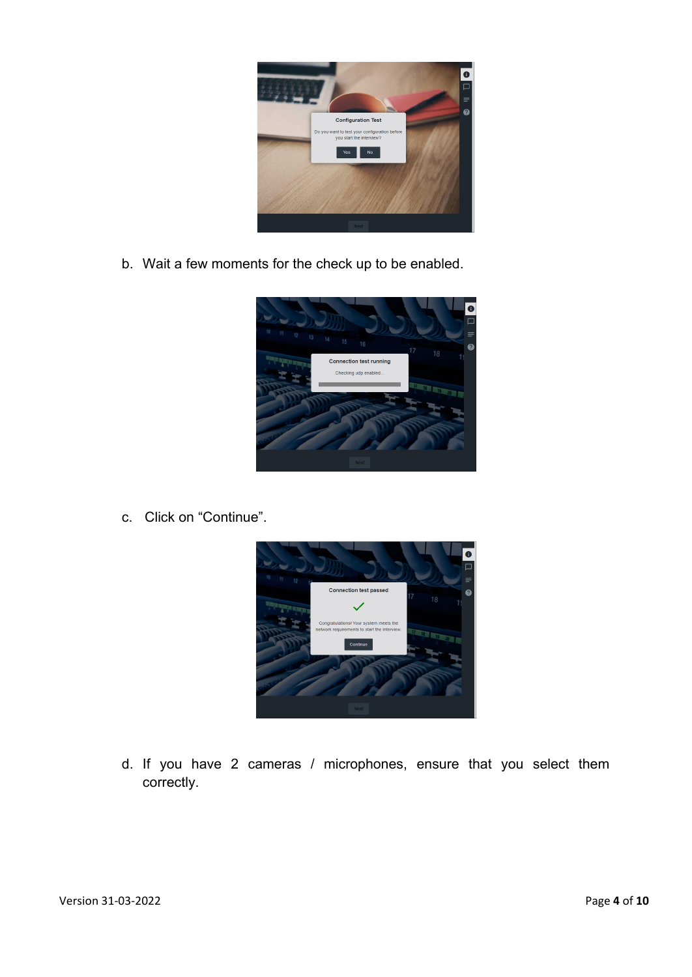

b. Wait a few moments for the check up to be enabled.



c. Click on "Continue".



d. If you have 2 cameras / microphones, ensure that you select them correctly.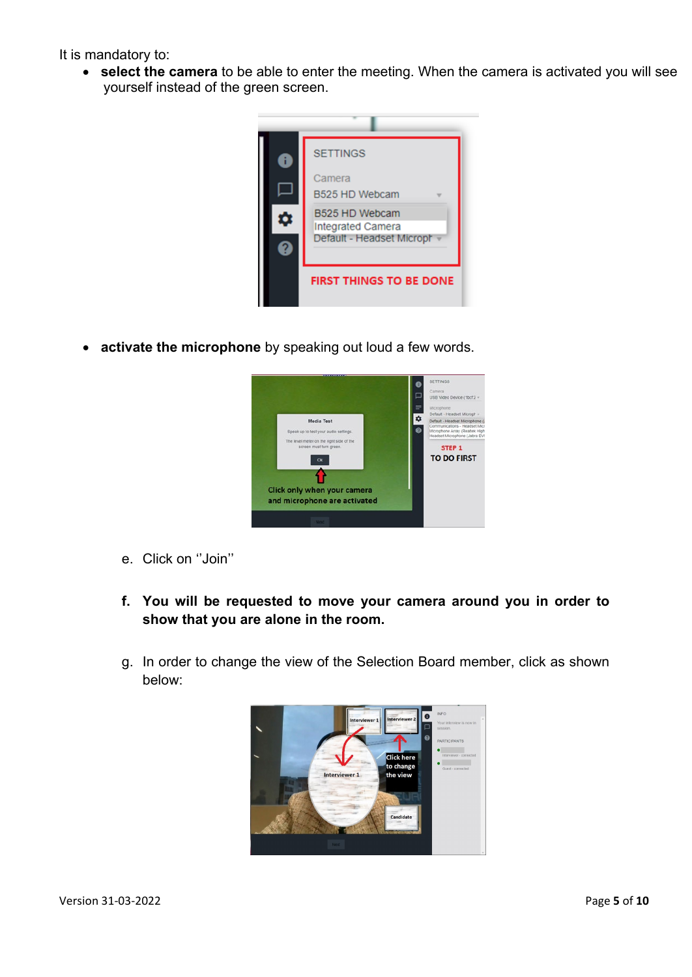It is mandatory to:

• **select the camera** to be able to enter the meeting. When the camera is activated you will see yourself instead of the green screen.



• **activate the microphone** by speaking out loud a few words.



- e. Click on ''Join''
- **f. You will be requested to move your camera around you in order to show that you are alone in the room.**
- g. In order to change the view of the Selection Board member, click as shown below:

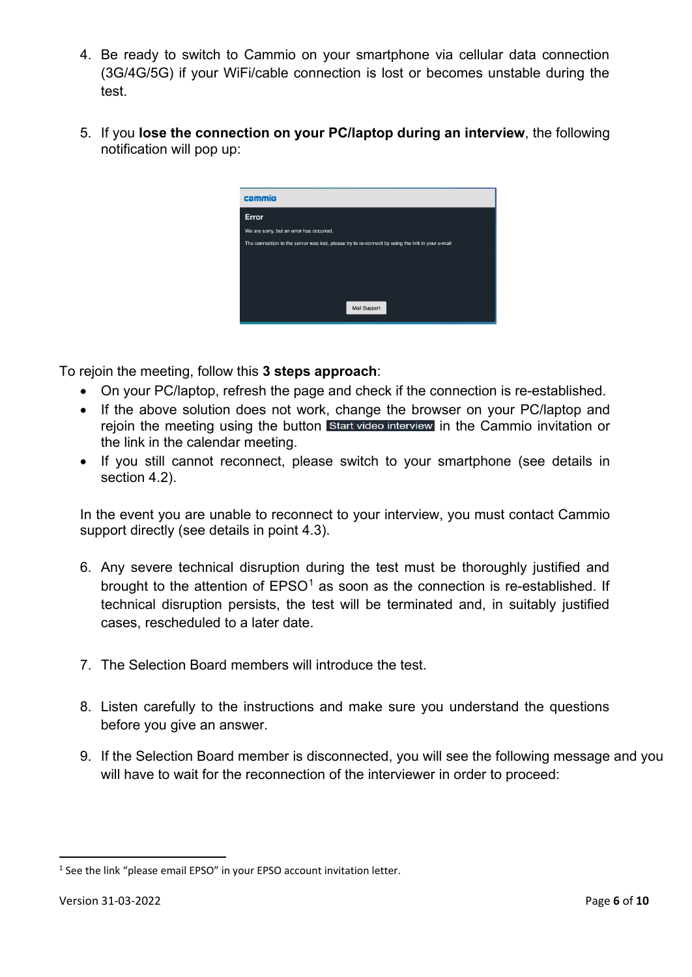- 4. Be ready to switch to Cammio on your smartphone via cellular data connection (3G/4G/5G) if your WiFi/cable connection is lost or becomes unstable during the test.
- 5. If you **lose the connection on your PC/laptop during an interview**, the following notification will pop up:

| cammio                                                                                           |
|--------------------------------------------------------------------------------------------------|
| Error                                                                                            |
| We are sorry, but an error has occurred.                                                         |
| The connection to the server was lost, please try to re-connect by using the link in your e-mail |
|                                                                                                  |
|                                                                                                  |
|                                                                                                  |
|                                                                                                  |
| Mail Support                                                                                     |

To rejoin the meeting, follow this **3 steps approach**:

- On your PC/laptop, refresh the page and check if the connection is re-established.
- If the above solution does not work, change the browser on your PC/laptop and rejoin the meeting using the button start video interview in the Cammio invitation or the link in the calendar meeting.
- If you still cannot reconnect, please switch to your smartphone (see details in section 4.2).

In the event you are unable to reconnect to your interview, you must contact Cammio support directly (see details in point 4.3).

- 6. Any severe technical disruption during the test must be thoroughly justified and brought to the attention of  $EPSO<sup>1</sup>$  $EPSO<sup>1</sup>$  $EPSO<sup>1</sup>$  as soon as the connection is re-established. If technical disruption persists, the test will be terminated and, in suitably justified cases, rescheduled to a later date.
- 7. The Selection Board members will introduce the test.
- 8. Listen carefully to the instructions and make sure you understand the questions before you give an answer.
- 9. If the Selection Board member is disconnected, you will see the following message and you will have to wait for the reconnection of the interviewer in order to proceed:

<span id="page-5-0"></span><sup>&</sup>lt;sup>1</sup> See the link "please email EPSO" in your EPSO account invitation letter.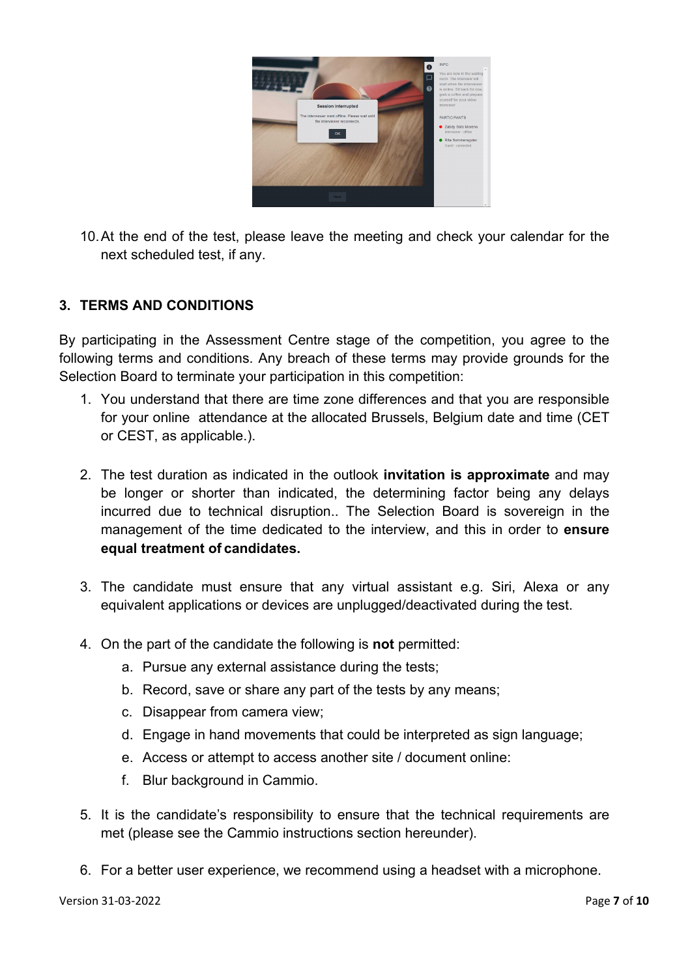

10.At the end of the test, please leave the meeting and check your calendar for the next scheduled test, if any.

#### <span id="page-6-0"></span>**3. TERMS AND CONDITIONS**

By participating in the Assessment Centre stage of the competition, you agree to the following terms and conditions. Any breach of these terms may provide grounds for the Selection Board to terminate your participation in this competition:

- 1. You understand that there are time zone differences and that you are responsible for your online attendance at the allocated Brussels, Belgium date and time (CET or CEST, as applicable.).
- 2. The test duration as indicated in the outlook **invitation is approximate** and may be longer or shorter than indicated, the determining factor being any delays incurred due to technical disruption.. The Selection Board is sovereign in the management of the time dedicated to the interview, and this in order to **ensure equal treatment of candidates.**
- 3. The candidate must ensure that any virtual assistant e.g. Siri, Alexa or any equivalent applications or devices are unplugged/deactivated during the test.
- 4. On the part of the candidate the following is **not** permitted:
	- a. Pursue any external assistance during the tests;
	- b. Record, save or share any part of the tests by any means;
	- c. Disappear from camera view;
	- d. Engage in hand movements that could be interpreted as sign language;
	- e. Access or attempt to access another site / document online:
	- f. Blur background in Cammio.
- 5. It is the candidate's responsibility to ensure that the technical requirements are met (please see the Cammio instructions section hereunder).
- 6. For a better user experience, we recommend using a headset with a microphone.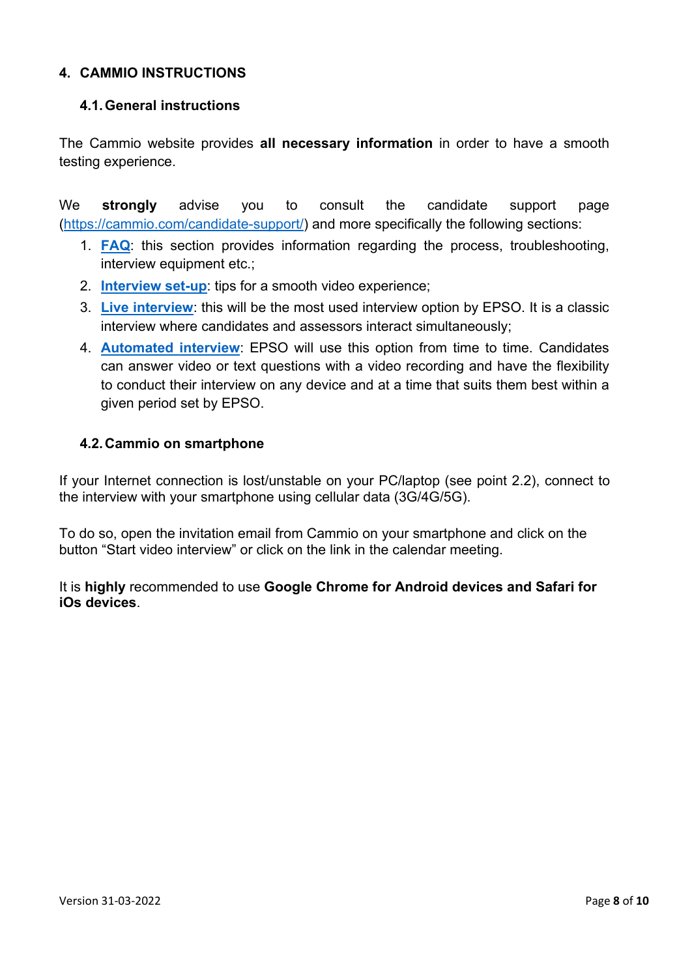## <span id="page-7-0"></span>**4. CAMMIO INSTRUCTIONS**

#### <span id="page-7-1"></span>**4.1.General instructions**

The Cammio website provides **all necessary information** in order to have a smooth testing experience.

We **strongly** advise you to consult the candidate support page [\(https://cammio.com/candidate-support/\)](https://cammio.com/candidate-support/) and more specifically the following sections:

- 1. **[FAQ](https://cammio.com/candidate-support/faq/)**: this section provides information regarding the process, troubleshooting, interview equipment etc.;
- 2. **[Interview set-up](https://cammio.com/candidate-support/interview-set-up/)**: tips for a smooth video experience;
- 3. **[Live interview](https://cammio.com/candidate-support/what-is-a-live-interview/)**: this will be the most used interview option by EPSO. It is a classic interview where candidates and assessors interact simultaneously;
- 4. **[Automated interview](https://cammio.com/candidate-support/what-is-an-automated-interview/)**: EPSO will use this option from time to time. Candidates can answer video or text questions with a video recording and have the flexibility to conduct their interview on any device and at a time that suits them best within a given period set by EPSO.

#### <span id="page-7-2"></span>**4.2.Cammio on smartphone**

If your Internet connection is lost/unstable on your PC/laptop (see point 2.2), connect to the interview with your smartphone using cellular data (3G/4G/5G).

To do so, open the invitation email from Cammio on your smartphone and click on the button "Start video interview" or click on the link in the calendar meeting.

It is **highly** recommended to use **Google Chrome for Android devices and Safari for iOs devices**.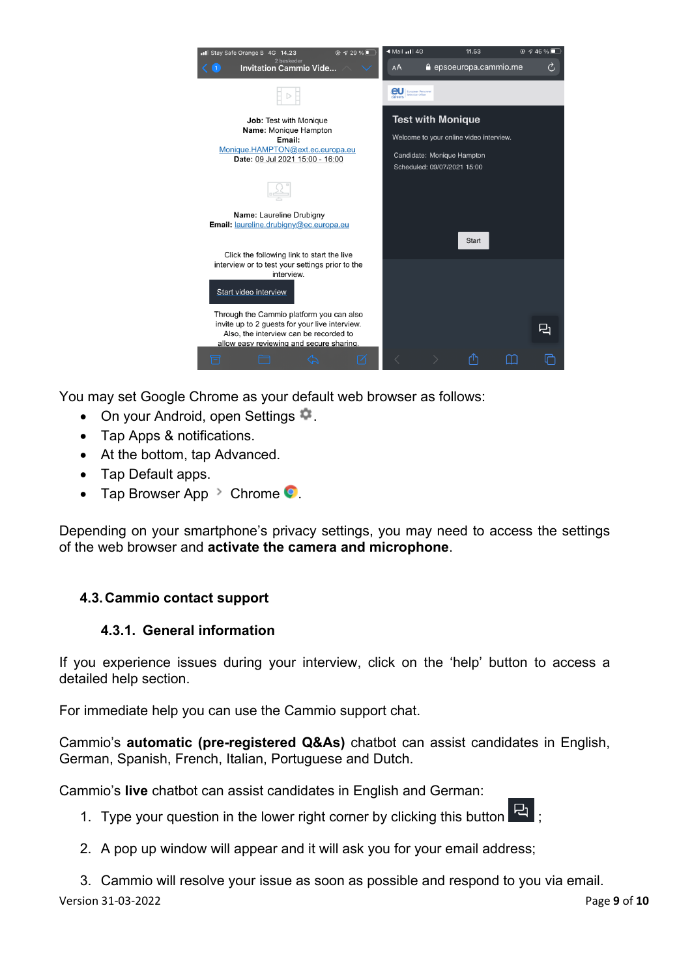

You may set Google Chrome as your default web browser as follows:

- On your Android, open Settings  $\mathbb{R}$ .
- Tap Apps & notifications.
- At the bottom, tap Advanced.
- Tap Default apps.
- Tap Browser App  $\geq$  Chrome  $\bullet$ .

Depending on your smartphone's privacy settings, you may need to access the settings of the web browser and **activate the camera and microphone**.

# <span id="page-8-0"></span>**4.3.Cammio contact support**

# **4.3.1. General information**

If you experience issues during your interview, click on the 'help' button to access a detailed help section.

For immediate help you can use the Cammio support chat.

Cammio's **automatic (pre-registered Q&As)** chatbot can assist candidates in English, German, Spanish, French, Italian, Portuguese and Dutch.

Cammio's **live** chatbot can assist candidates in English and German:

- 1. Type your question in the lower right corner by clicking this button  $\overline{R}$  ;
- 2. A pop up window will appear and it will ask you for your email address;

Version 31-03-2022 Page **9** of **10** 3. Cammio will resolve your issue as soon as possible and respond to you via email.